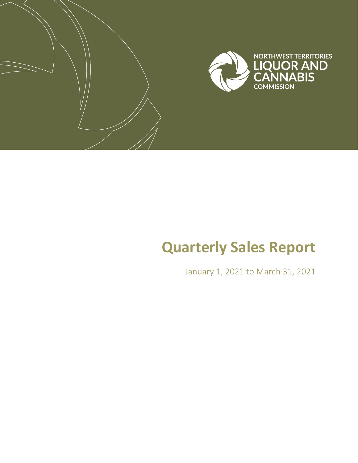

# **Quarterly Sales Report**

January 1, 2021 to March 31, 2021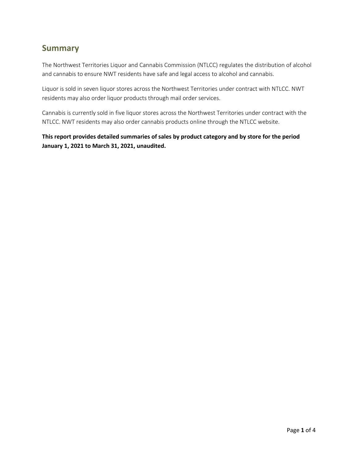#### **Summary**

The Northwest Territories Liquor and Cannabis Commission (NTLCC) regulates the distribution of alcohol and cannabis to ensure NWT residents have safe and legal access to alcohol and cannabis.

Liquor is sold in seven liquor stores across the Northwest Territories under contract with NTLCC. NWT residents may also order liquor products through mail order services.

Cannabis is currently sold in five liquor stores across the Northwest Territories under contract with the NTLCC. NWT residents may also order cannabis products online through the NTLCC website.

**This report provides detailed summaries of sales by product category and by store for the period January 1, 2021 to March 31, 2021, unaudited.**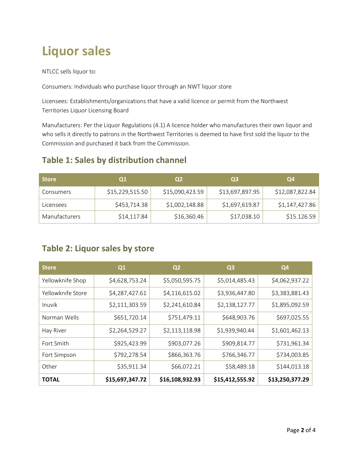# **Liquor sales**

NTLCC sells liquor to:

Consumers: Individuals who purchase liquor through an NWT liquor store

Licensees: Establishments/organizations that have a valid licence or permit from the Northwest Territories Liquor Licensing Board

Manufacturers: Per the Liquor Regulations (4.1) A licence holder who manufactures their own liquor and who sells it directly to patrons in the Northwest Territories is deemed to have first sold the liquor to the Commission and purchased it back from the Commission.

#### **Table 1: Sales by distribution channel**

| <b>Store</b>         | <b>Q1</b>       | Q2              | Q <sub>3</sub>  | Q4              |
|----------------------|-----------------|-----------------|-----------------|-----------------|
| Consumers            | \$15,229,515.50 | \$15,090,423.59 | \$13,697,897.95 | \$12,087,822.84 |
| Licensees            | \$453,714.38    | \$1,002,148.88  | \$1,697,619.87  | \$1,147,427.86  |
| <b>Manufacturers</b> | \$14,117.84     | \$16,360.46     | \$17,038.10     | \$15.126.59     |

#### **Table 2: Liquor sales by store**

| <b>Store</b>      | Q1              | Q <sub>2</sub>  | Q <sub>3</sub>  | Q4              |
|-------------------|-----------------|-----------------|-----------------|-----------------|
| Yellowknife Shop  | \$4,628,753.24  | \$5,050,595.75  | \$5,014,485.43  | \$4,062,937.22  |
| Yellowknife Store | \$4,287,427.61  | \$4,116,615.02  | \$3,936,447.80  | \$3,383,881.43  |
| Inuvik            | \$2,111,303.59  | \$2,241,610.84  | \$2,138,127.77  | \$1,895,092.59  |
| Norman Wells      | \$651,720.14    | \$751,479.11    | \$648,903.76    | \$697,025.55    |
| Hay River         | \$2,264,529.27  | \$2,113,118.98  | \$1,939,940.44  | \$1,601,462.13  |
| Fort Smith        | \$925,423.99    | \$903,077.26    | \$909,814.77    | \$731,961.34    |
| Fort Simpson      | \$792,278.54    | \$866,363.76    | \$766,346.77    | \$734,003.85    |
| Other             | \$35,911.34     | \$66,072.21     | \$58,489.18     | \$144,013.18    |
| <b>TOTAL</b>      | \$15,697,347.72 | \$16,108,932.93 | \$15,412,555.92 | \$13,250,377.29 |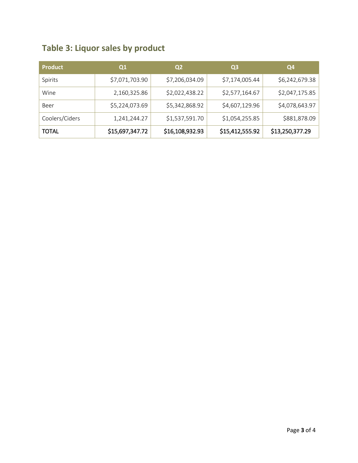### **Table 3: Liquor sales by product**

| <b>Product</b> | Q <sub>1</sub>  | Q2              | Q <sub>3</sub>  | Q4              |
|----------------|-----------------|-----------------|-----------------|-----------------|
| Spirits        | \$7,071,703.90  | \$7,206,034.09  | \$7,174,005.44  | \$6,242,679.38  |
| Wine           | 2,160,325.86    | \$2,022,438.22  | \$2,577,164.67  | \$2,047,175.85  |
| Beer           | \$5,224,073.69  | \$5,342,868.92  | \$4,607,129.96  | \$4,078,643.97  |
| Coolers/Ciders | 1,241,244.27    | \$1,537,591.70  | \$1,054,255.85  | \$881,878.09    |
| <b>TOTAL</b>   | \$15,697,347.72 | \$16,108,932.93 | \$15,412,555.92 | \$13,250,377.29 |